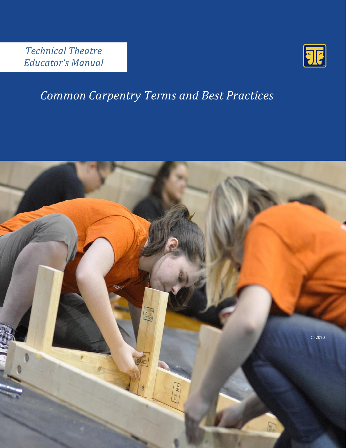*Technical Theatre Educator's Manual*



# *Common Carpentry Terms and Best Practices*

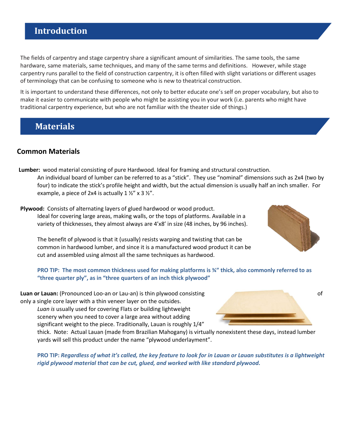# **Introduction**

The fields of carpentry and stage carpentry share a significant amount of similarities. The same tools, the same hardware, same materials, same techniques, and many of the same terms and definitions. However, while stage carpentry runs parallel to the field of construction carpentry, it is often filled with slight variations or different usages of terminology that can be confusing to someone who is new to theatrical construction.

It is important to understand these differences, not only to better educate one's self on proper vocabulary, but also to make it easier to communicate with people who might be assisting you in your work (i.e. parents who might have traditional carpentry experience, but who are not familiar with the theater side of things.)

## **Materials**

### **Common Materials**

- **Lumber:** wood material consisting of pure Hardwood. Ideal for framing and structural construction. An individual board of lumber can be referred to as a "stick". They use "nominal" dimensions such as 2x4 (two by four) to indicate the stick's profile height and width, but the actual dimension is usually half an inch smaller. For example, a piece of 2x4 is actually  $1 \frac{1}{2}$  x 3  $\frac{1}{2}$ .
- **Plywood:** Consists of alternating layers of glued hardwood or wood product. Ideal for covering large areas, making walls, or the tops of platforms. Available in a variety of thicknesses, they almost always are 4'x8' in size (48 inches, by 96 inches).

The benefit of plywood is that it (usually) resists warping and twisting that can be common in hardwood lumber, and since it is a manufactured wood product it can be cut and assembled using almost all the same techniques as hardwood.

**PRO TIP: The most common thickness used for making platforms is ¾" thick, also commonly referred to as "three quarter ply", as in "three quarters of an inch thick plywood"**

**Luan or Lauan:** (Pronounced Loo-an or Lau-an) is thin plywood consisting of the construction of of only a single core layer with a thin veneer layer on the outsides.

*Luan is* usually used for covering Flats or building lightweight scenery when you need to cover a large area without adding significant weight to the piece. Traditionally, Lauan is roughly 1/4"

thick. Note: Actual Lauan (made from Brazilian Mahogany) is virtually nonexistent these days, instead lumber yards will sell this product under the name "plywood underlayment".

**PRO TIP:** *Regardless of what it's called, the key feature to look for in Lauan or Lauan substitutes is a lightweight rigid plywood material that can be cut, glued, and worked with like standard plywood.*



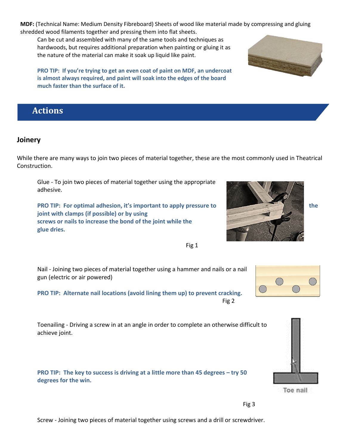**MDF:** (Technical Name: Medium Density Fibreboard) Sheets of wood like material made by compressing and gluing shredded wood filaments together and pressing them into flat sheets.

Can be cut and assembled with many of the same tools and techniques as hardwoods, but requires additional preparation when painting or gluing it as the nature of the material can make it soak up liquid like paint.

**PRO TIP: If you're trying to get an even coat of paint on MDF, an undercoat is almost always required, and paint will soak into the edges of the board much faster than the surface of it.**

# **Actions**

#### **Joinery**

While there are many ways to join two pieces of material together, these are the most commonly used in Theatrical Construction.

Glue - To join two pieces of material together using the appropriate adhesive.

**PRO TIP: For optimal adhesion, it's important to apply pressure to the state of the state of the state of the state of the state of the state of the state of the state of the state of the state of the state of the state o joint with clamps (if possible) or by using screws or nails to increase the bond of the joint while the glue dries.**

Nail - Joining two pieces of material together using a hammer and nails or a nail gun (electric or air powered)

**PRO TIP: Alternate nail locations (avoid lining them up) to prevent cracking.**  Fig 2

Toenailing - Driving a screw in at an angle in order to complete an otherwise difficult to achieve joint.

**PRO TIP:** The key to success is driving at a little more than 45 degrees – try 50 **degrees for the win.** 











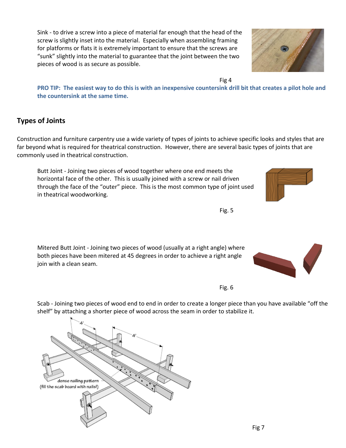Sink - to drive a screw into a piece of material far enough that the head of the screw is slightly inset into the material. Especially when assembling framing for platforms or flats it is extremely important to ensure that the screws are "sunk" slightly into the material to guarantee that the joint between the two pieces of wood is as secure as possible.

Fig 4

**PRO TIP: The easiest way to do this is with an inexpensive countersink drill bit that creates a pilot hole and the countersink at the same time.** 

## **Types of Joints**

Construction and furniture carpentry use a wide variety of types of joints to achieve specific looks and styles that are far beyond what is required for theatrical construction. However, there are several basic types of joints that are commonly used in theatrical construction.

Butt Joint - Joining two pieces of wood together where one end meets the horizontal face of the other. This is usually joined with a screw or nail driven through the face of the "outer" piece. This is the most common type of joint used in theatrical woodworking.

Mitered Butt Joint - Joining two pieces of wood (usually at a right angle) where both pieces have been mitered at 45 degrees in order to achieve a right angle join with a clean seam.

Fig. 5

dense nailing pattern (fill the scab board with nails!)

Scab - Joining two pieces of wood end to end in order to create a longer piece than you have available "off the shelf" by attaching a shorter piece of wood across the seam in order to stabilize it.

Fig 7







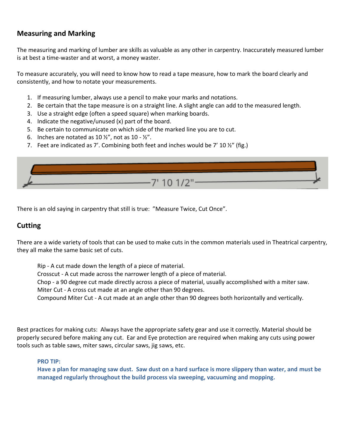## **Measuring and Marking**

The measuring and marking of lumber are skills as valuable as any other in carpentry. Inaccurately measured lumber is at best a time-waster and at worst, a money waster.

To measure accurately, you will need to know how to read a tape measure, how to mark the board clearly and consistently, and how to notate your measurements.

- 1. If measuring lumber, always use a pencil to make your marks and notations.
- 2. Be certain that the tape measure is on a straight line. A slight angle can add to the measured length.
- 3. Use a straight edge (often a speed square) when marking boards.
- 4. Indicate the negative/unused (x) part of the board.
- 5. Be certain to communicate on which side of the marked line you are to cut.
- 6. Inches are notated as 10  $\frac{1}{2}$ , not as 10  $\frac{1}{2}$ .
- 7. Feet are indicated as 7'. Combining both feet and inches would be 7' 10  $\frac{1}{2}$ " (fig.)



There is an old saying in carpentry that still is true: "Measure Twice, Cut Once".

#### **Cutting**

There are a wide variety of tools that can be used to make cuts in the common materials used in Theatrical carpentry, they all make the same basic set of cuts.

Rip - A cut made down the length of a piece of material. Crosscut - A cut made across the narrower length of a piece of material. Chop - a 90 degree cut made directly across a piece of material, usually accomplished with a miter saw. Miter Cut - A cross cut made at an angle other than 90 degrees. Compound Miter Cut - A cut made at an angle other than 90 degrees both horizontally and vertically.

Best practices for making cuts: Always have the appropriate safety gear and use it correctly. Material should be properly secured before making any cut. Ear and Eye protection are required when making any cuts using power tools such as table saws, miter saws, circular saws, jig saws, etc.

**PRO TIP:** 

**Have a plan for managing saw dust. Saw dust on a hard surface is more slippery than water, and must be managed regularly throughout the build process via sweeping, vacuuming and mopping.**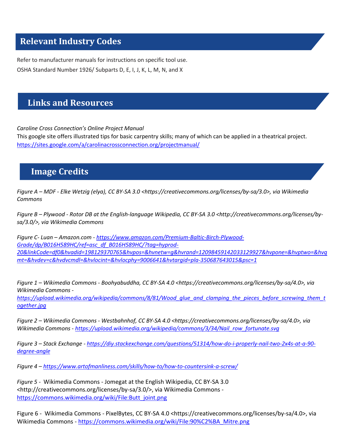## **Relevant Industry Codes**

Refer to manufacturer manuals for instructions on specific tool use. OSHA Standard Number 1926/ Subparts D, E, I, J, K, L, M, N, and X

# **Links and Resources**

*Caroline Cross Connection's Online Project Manual*

This google site offers illustrated tips for basic carpentry skills; many of which can be applied in a theatrical project. <https://sites.google.com/a/carolinacrossconnection.org/projectmanual/>

## **Image Credits**

*Figure A – MDF - Elke Wetzig (elya), CC BY-SA 3.0 <https://creativecommons.org/licenses/by-sa/3.0>, via Wikimedia Commons*

*Figure B – Plywood - Rotor DB at the English-language Wikipedia, CC BY-SA 3.0 <http://creativecommons.org/licenses/bysa/3.0/>, via Wikimedia Commons*

*Figure C- Luan – Amazon.com - [https://www.amazon.com/Premium-Baltic-Birch-Plywood-](https://www.amazon.com/Premium-Baltic-Birch-Plywood-Grade/dp/B016H589HC/ref=asc_df_B016H589HC/?tag=hyprod-20&linkCode=df0&hvadid=198129370765&hvpos=&hvnetw=g&hvrand=12098459142033129927&hvpone=&hvptwo=&hvqmt=&hvdev=c&hvdvcmdl=&hvlocint=&hvlocphy=9006641&hvtargid=pla-350687643015&psc=1)[Grade/dp/B016H589HC/ref=asc\\_df\\_B016H589HC/?tag=hyprod-](https://www.amazon.com/Premium-Baltic-Birch-Plywood-Grade/dp/B016H589HC/ref=asc_df_B016H589HC/?tag=hyprod-20&linkCode=df0&hvadid=198129370765&hvpos=&hvnetw=g&hvrand=12098459142033129927&hvpone=&hvptwo=&hvqmt=&hvdev=c&hvdvcmdl=&hvlocint=&hvlocphy=9006641&hvtargid=pla-350687643015&psc=1)[20&linkCode=df0&hvadid=198129370765&hvpos=&hvnetw=g&hvrand=12098459142033129927&hvpone=&hvptwo=&hvq](https://www.amazon.com/Premium-Baltic-Birch-Plywood-Grade/dp/B016H589HC/ref=asc_df_B016H589HC/?tag=hyprod-20&linkCode=df0&hvadid=198129370765&hvpos=&hvnetw=g&hvrand=12098459142033129927&hvpone=&hvptwo=&hvqmt=&hvdev=c&hvdvcmdl=&hvlocint=&hvlocphy=9006641&hvtargid=pla-350687643015&psc=1) [mt=&hvdev=c&hvdvcmdl=&hvlocint=&hvlocphy=9006641&hvtargid=pla-350687643015&psc=1](https://www.amazon.com/Premium-Baltic-Birch-Plywood-Grade/dp/B016H589HC/ref=asc_df_B016H589HC/?tag=hyprod-20&linkCode=df0&hvadid=198129370765&hvpos=&hvnetw=g&hvrand=12098459142033129927&hvpone=&hvptwo=&hvqmt=&hvdev=c&hvdvcmdl=&hvlocint=&hvlocphy=9006641&hvtargid=pla-350687643015&psc=1)*

*Figure 1 – Wikimedia Commons - Boohyabuddha, CC BY-SA 4.0 <https://creativecommons.org/licenses/by-sa/4.0>, via Wikimedia Commons -*

*[https://upload.wikimedia.org/wikipedia/commons/8/81/Wood\\_glue\\_and\\_clamping\\_the\\_pieces\\_before\\_screwing\\_them\\_t](https://upload.wikimedia.org/wikipedia/commons/8/81/Wood_glue_and_clamping_the_pieces_before_screwing_them_together.jpg) [ogether.jpg](https://upload.wikimedia.org/wikipedia/commons/8/81/Wood_glue_and_clamping_the_pieces_before_screwing_them_together.jpg)*

*Figure 2 – Wikimedia Commons - Westbahnhof, CC BY-SA 4.0 <https://creativecommons.org/licenses/by-sa/4.0>, via Wikimedia Commons - [https://upload.wikimedia.org/wikipedia/commons/3/34/Nail\\_row\\_fortunate.svg](https://upload.wikimedia.org/wikipedia/commons/3/34/Nail_row_fortunate.svg)*

*Figure 3 – Stack Exchange - [https://diy.stackexchange.com/questions/51314/how-do-i-properly-nail-two-2x4s-at-a-90](https://diy.stackexchange.com/questions/51314/how-do-i-properly-nail-two-2x4s-at-a-90-degree-angle) [degree-angle](https://diy.stackexchange.com/questions/51314/how-do-i-properly-nail-two-2x4s-at-a-90-degree-angle)*

*Figure 4 – <https://www.artofmanliness.com/skills/how-to/how-to-countersink-a-screw/>*

*Figure 5 -* Wikimedia Commons - Jomegat at the English Wikipedia, CC BY-SA 3.0 <http://creativecommons.org/licenses/by-sa/3.0/>, via Wikimedia Commons [https://commons.wikimedia.org/wiki/File:Butt\\_joint.png](https://commons.wikimedia.org/wiki/File:Butt_joint.png)

Figure 6 - Wikimedia Commons - PixelBytes, CC BY-SA 4.0 <https://creativecommons.org/licenses/by-sa/4.0>, via Wikimedia Commons - [https://commons.wikimedia.org/wiki/File:90%C2%BA\\_Mitre.png](https://commons.wikimedia.org/wiki/File:90%C2%BA_Mitre.png)